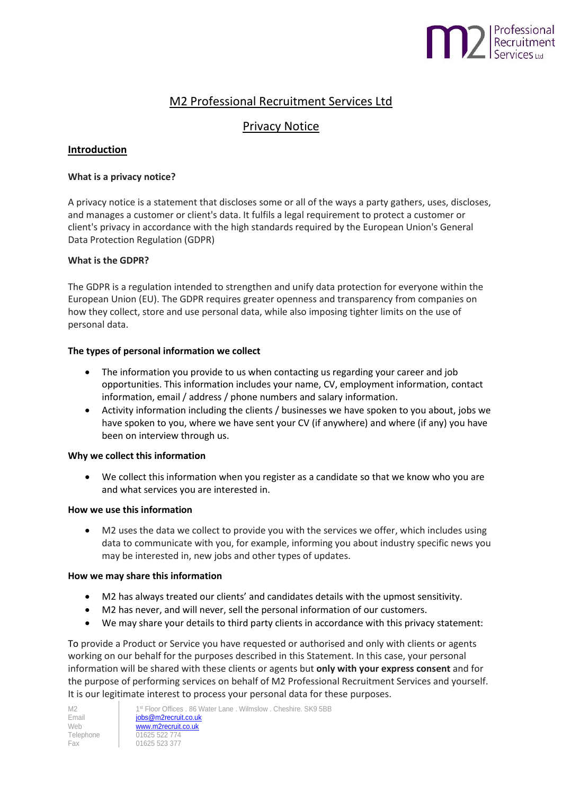# Professional<br>Recruitment<br>Services Ltd

# M2 Professional Recruitment Services Ltd

# Privacy Notice

# **Introduction**

# **What is a privacy notice?**

A privacy notice is a statement that discloses some or all of the ways a party gathers, uses, discloses, and manages a customer or client's data. It fulfils a legal requirement to protect a customer or client's privacy in accordance with the high standards required by the European Union's General Data Protection Regulation (GDPR)

# **What is the GDPR?**

The GDPR is a regulation intended to strengthen and unify data protection for everyone within the European Union (EU). The GDPR requires greater openness and transparency from companies on how they collect, store and use personal data, while also imposing tighter limits on the use of personal data.

# **The types of personal information we collect**

- The information you provide to us when contacting us regarding your career and job opportunities. This information includes your name, CV, employment information, contact information, email / address / phone numbers and salary information.
- Activity information including the clients / businesses we have spoken to you about, jobs we have spoken to you, where we have sent your CV (if anywhere) and where (if any) you have been on interview through us.

# **Why we collect this information**

 We collect this information when you register as a candidate so that we know who you are and what services you are interested in.

#### **How we use this information**

 M2 uses the data we collect to provide you with the services we offer, which includes using data to communicate with you, for example, informing you about industry specific news you may be interested in, new jobs and other types of updates.

#### **How we may share this information**

- M2 has always treated our clients' and candidates details with the upmost sensitivity.
- M2 has never, and will never, sell the personal information of our customers.
- We may share your details to third party clients in accordance with this privacy statement:

To provide a Product or Service you have requested or authorised and only with clients or agents working on our behalf for the purposes described in this Statement. In this case, your personal information will be shared with these clients or agents but **only with your express consent** and for the purpose of performing services on behalf of M2 Professional Recruitment Services and yourself. It is our legitimate interest to process your personal data for these purposes.

| M2        |   |
|-----------|---|
| Email     | C |
| Web       | ٨ |
| Telephone |   |
| Fax       |   |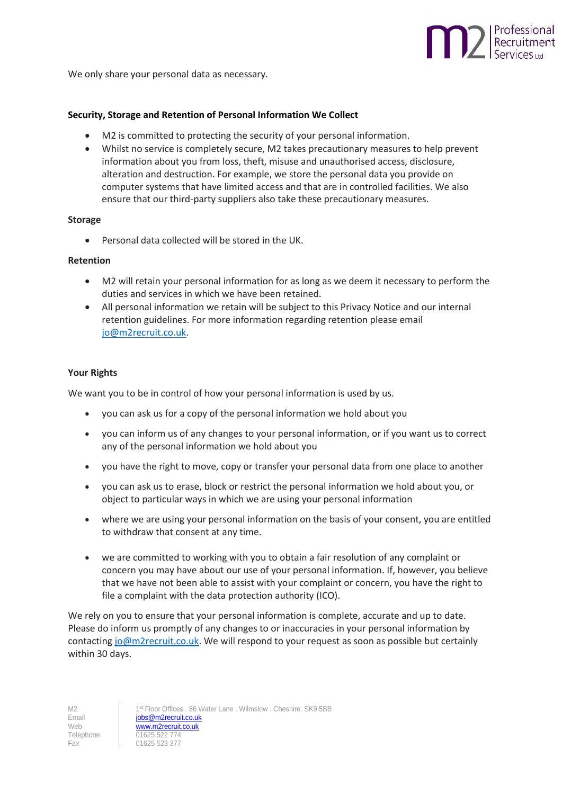

We only share your personal data as necessary.

#### **Security, Storage and Retention of Personal Information We Collect**

- M2 is committed to protecting the security of your personal information.
- Whilst no service is completely secure, M2 takes precautionary measures to help prevent information about you from loss, theft, misuse and unauthorised access, disclosure, alteration and destruction. For example, we store the personal data you provide on computer systems that have limited access and that are in controlled facilities. We also ensure that our third-party suppliers also take these precautionary measures.

#### **Storage**

Personal data collected will be stored in the UK.

#### **Retention**

- M2 will retain your personal information for as long as we deem it necessary to perform the duties and services in which we have been retained.
- All personal information we retain will be subject to this Privacy Notice and our internal retention guidelines. For more information regarding retention please email [jo@m2recruit.co.uk.](mailto:jo@m2recruit.co.uk)

#### **Your Rights**

We want you to be in control of how your personal information is used by us.

- you can ask us for a copy of the personal information we hold about you
- you can inform us of any changes to your personal information, or if you want us to correct any of the personal information we hold about you
- you have the right to move, copy or transfer your personal data from one place to another
- you can ask us to erase, block or restrict the personal information we hold about you, or object to particular ways in which we are using your personal information
- where we are using your personal information on the basis of your consent, you are entitled to withdraw that consent at any time.
- we are committed to working with you to obtain a fair resolution of any complaint or concern you may have about our use of your personal information. If, however, you believe that we have not been able to assist with your complaint or concern, you have the right to file a complaint with the data protection authority (ICO).

We rely on you to ensure that your personal information is complete, accurate and up to date. Please do inform us promptly of any changes to or inaccuracies in your personal information by contactin[g jo@m2recruit.co.uk.](mailto:jo@m2recruit.co.uk) We will respond to your request as soon as possible but certainly within 30 days.

M2 1